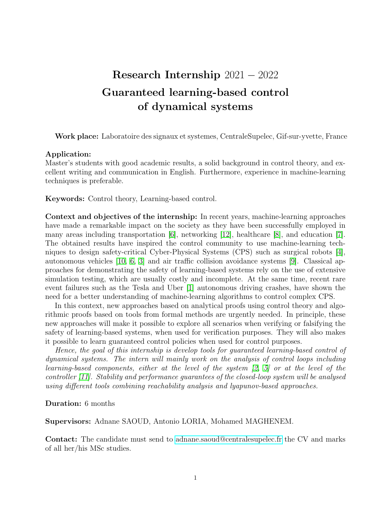## Research Internship 2021 − 2022 Guaranteed learning-based control of dynamical systems

Work place: Laboratoire des signaux et systemes, CentraleSupelec, Gif-sur-yvette, France

## Application:

Master's students with good academic results, a solid background in control theory, and excellent writing and communication in English. Furthermore, experience in machine-learning techniques is preferable.

Keywords: Control theory, Learning-based control.

Context and objectives of the internship: In recent years, machine-learning approaches have made a remarkable impact on the society as they have been successfully employed in many areas including transportation [\[6\]](#page-1-0), networking [\[12\]](#page-1-1), healthcare [\[8\]](#page-1-2), and education [\[7\]](#page-1-3). The obtained results have inspired the control community to use machine-learning techniques to design safety-critical Cyber-Physical Systems (CPS) such as surgical robots [\[4\]](#page-1-4), autonomous vehicles [\[10,](#page-1-5) [6,](#page-1-0) [3\]](#page-1-6) and air traffic collision avoidance systems [\[9\]](#page-1-7). Classical approaches for demonstrating the safety of learning-based systems rely on the use of extensive simulation testing, which are usually costly and incomplete. At the same time, recent rare event failures such as the Tesla and Uber [\[1\]](#page-1-8) autonomous driving crashes, have shown the need for a better understanding of machine-learning algorithms to control complex CPS.

In this context, new approaches based on analytical proofs using control theory and algorithmic proofs based on tools from formal methods are urgently needed. In principle, these new approaches will make it possible to explore all scenarios when verifying or falsifying the safety of learning-based systems, when used for verification purposes. They will also makes it possible to learn guaranteed control policies when used for control purposes.

Hence, the goal of this internship is develop tools for guaranteed learning-based control of dynamical systems. The intern will mainly work on the analysis of control loops including learning-based components, either at the level of the system [\[2,](#page-1-9) [5\]](#page-1-10) or at the level of the controller [\[11\]](#page-1-11). Stability and performance guarantees of the closed-loop system will be analysed using different tools combining reachability analysis and lyapunov-based approaches.

Duration: 6 months

Supervisors: Adnane SAOUD, Antonio LORIA, Mohamed MAGHENEM.

Contact: The candidate must send to [adnane.saoud@centralesupelec.fr](mailto:adnane.saoud@centralesupelec.fr) the CV and marks of all her/his MSc studies.